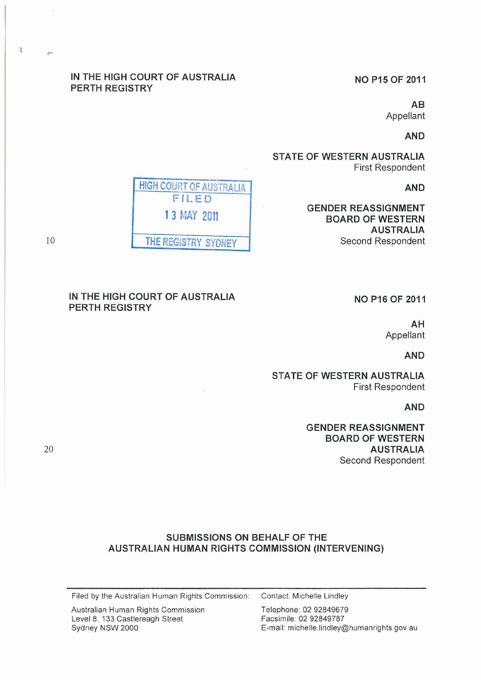# IN THE HIGH COURT OF AUSTRALIA PERTH REGISTRY

NO P15 OF 2011

AB Appellant

AND

STATE OF WESTERN AUSTRALIA First Respondent

AND

GENDER REASSIGNMENT BOARD OF WESTERN AUSTRALIA Second Respondent

HIGH COURT OF AUSTRALIA FILED 1 3 MAY 2011 THE REGISTRY SYDNEY

 $10$ 

 $\mathbf{r}$ 

# IN THE HIGH COURT OF AUSTRALIA PERTH REGISTRY

NO P16 OF 2011

AH Appellant

AND

STATE OF WESTERN AUSTRALIA First Respondent

AND

GENDER REASSIGNMENT BOARD OF WESTERN AUSTRALIA Second Respondent

20

# SUBMISSIONS ON BEHALF OF THE AUSTRALIAN HUMAN RIGHTS COMMISSION (INTERVENING)

Filed by the Australian Human Rights Commission: Contact: Michelle Lindley

Australian Human Rights Commission Telephone: 02 92849679 Level 8, 133 Castlereagh Street Facsimile: 02 92849787<br>Sydney NSW 2000 Fermail: michelle.lindley

E-mail: michelle.lindley@humanrights.gov.au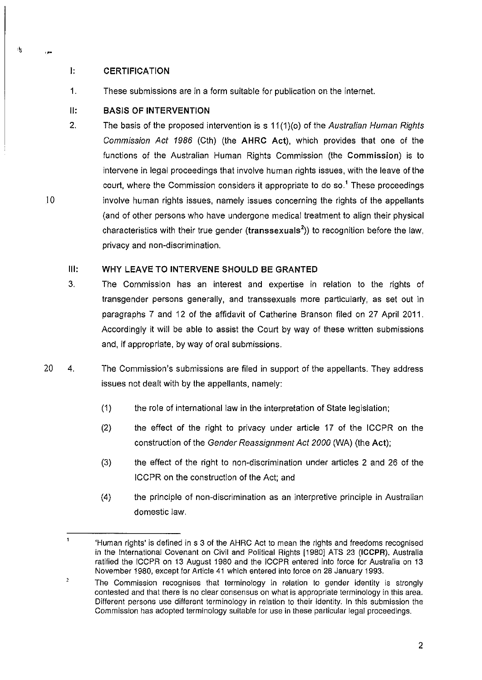## I: **CERTIFICATION**

,~

传

10

1. These submissions are in a form suitable for publication on the internet.

# 11: **BASIS OF INTERVENTION**

2. The basis of the proposed intervention is s 11(1)(o) of the Australian Human Rights Commission Act 1986 (Cth) (the **AHRC** Act), which provides that one of the functions of the Australian Human Rights Commission (the Commission) is to intervene in legal proceedings that involve human rights issues, with the leave of the court, where the Commission considers it appropriate to do so.<sup>1</sup> These proceedings involve human rights issues, namely issues concerning the rights of the appellants (and of other persons who have undergone medical treatment to align their physical characteristics with their true gender (transsexuals<sup>2</sup>)) to recognition before the law, privacy and non-discrimination.

# Ill: **WHY LEAVE TO INTERVENE SHOULD BE GRANTED**

- 3. The Commission has an interest and expertise in relation to the rights of transgender persons generally, and transsexuals more particularly, as set out in paragraphs 7 and 12 of the affidavit of Catherine Branson filed on 27 April 2011. Accordingly it will be able to assist the Court by way of these written submissions and, if appropriate, by way of oral submissions.
- 20 4. The Commission's submissions are filed in support of the appellants. They address issues not dealt with by the appellants, namely:
	- (1) the role of international law in the interpretation of State legislation;
	- (2) the effect of the right to privacy under article 17 of the ICCPR on the construction of the Gender Reassignment Act 2000 (WA) (the Act);
	- (3) the effect of the right to non-discrimination under articles 2 and 26 of the ICCPR on the construction of the Act; and
	- (4) the prinCiple of non-discrimination as an interpretive principle in Australian domestic law.

<sup>&#</sup>x27;Human rights' is defined in s 3 of the AHRC Act to mean the rights and freedoms recognised in the International Covenant on Civil and Political Rights [1980] ATS 23 (ICCPR). Australia ratified the ICCPR on 13 August 1980 and the ICCPR entered into force for Australia on 13 November 1980, except for Article 41 which entered into force on 28 January 1993.

<sup>,</sup>  The Commission recognises that terminology in relation to gender identity is strongly contested and that there is no clear consensus on what is appropriate terminology in this area. Different persons use different terminology in relation to their identity. In this submission the Commission has adopted terminology suitable for use in these particular legal proceedings.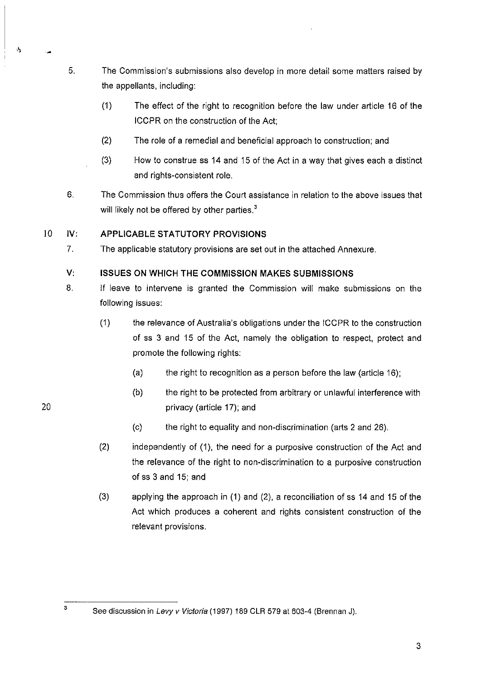- 5. The Commission's submissions also develop in more detail some matters raised by the appellants, including:
	- (1) The effect of the right to recognition before the law under article 16 of the ICCPR on the construction of the Act;
	- (2) The role of a remedial and beneficial approach to construction; and
	- (3) How to construe ss 14 and 15 of the Act in a way that gives each a distinct and rights-consistent role.
- 6. The Commission thus offers the Court assistance in relation to the above issues that will likely not be offered by other parties. $3$

# 10 IV: **APPLICABLE** STATUTORY **PROVISIONS**

7. The applicable statutory provisions are set out in the attached Annexure.

# V: **ISSUES ON WHICH THE COMMISSION MAKES SUBMISSIONS**

- 8. If leave to intervene is granted the Commission will make submissions on the following issues:
	- (1) the relevance of Australia's obligations under the ICCPR to the construction of ss 3 and 15 of the Act, namely the obligation to respect, protect and promote the following rights:
		- (a) the right to recognition as a person before the law (article 16);
		- $(b)$  the right to be protected from arbitrary or unlawful interference with privacy (article 17); and
		- (c) the right to equality and non-discrimination (arts 2 and 26).
	- (2) independently of (1), the need for a purposive construction of the Act and the relevance of the right to non-discrimination to a purposive construction of ss 3 and 15; and
	- (3) applying the approach in (1) and (2), a reconciliation of ss 14 and 15 of the Act which produces a coherent and rights consistent construction of the relevant provisions.

3

20

Ń,

See discussion in Levy v Victoria (1997) 189 CLR 579 at 603-4 (Brennan J).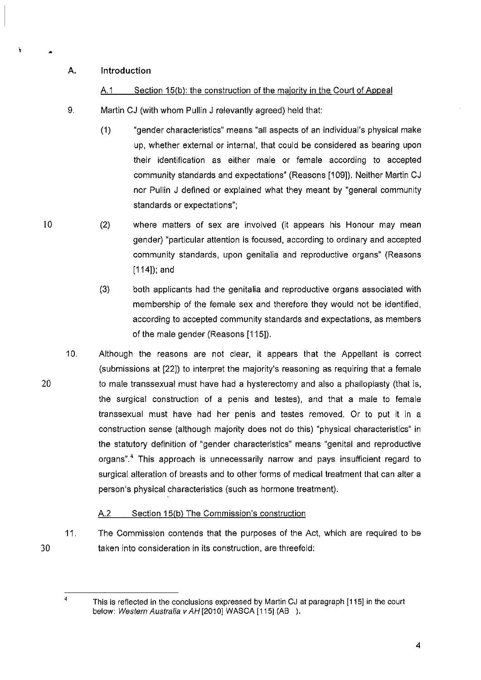# A. Introduction

•

# A.1 Section 15(b): the construction of the majority in the Court of Appeal

- 9. Martin CJ (with whom Pullin J relevantly agreed) held that:
	- (1) "gender characteristics" means "all aspects of an individual's physical make up, whether external or internal, that could be considered as bearing upon their identification as either male or female according to accepted community standards and expectations" (Reasons [109]). Neither Martin CJ nor Pullin J defined or explained what they meant by "general community standards or expectations";
- \0 (2) where matters of sex are involved (it appears his Honour may mean gender) "particular attention is focused, according to ordinary and accepted community standards, upon genitalia and reproductive organs" (Reasons [114]); and
	- (3) both applicants had the genitalia and reproductive organs associated with membership of the female sex and therefore they would not be identified, according to accepted community standards and expectations, as members of the male gender (Reasons [115]).
- 20 10. Although the reasons are not clear, it appears that the Appellant is correct (submissions at [22]) to interpret the majority's reasoning as requiring that a female to male transsexual must have had a hysterectomy and also a phalloplasty (that is. the surgical construction of a penis and testes), and that a male to female transsexual must have had her penis and testes removed. Or to put it in a construction sense (although majority does not do this) "physical characteristics" in the statutory definition of "gender characteristics" means "genital and reproductive organs".<sup>4</sup> This approach is unnecessarily narrow and pays insufficient regard to surgical alteration of breasts and to other forms of medical treatment that can alter a person's physical characteristics (such as hormone treatment).

# A.2 Section 15(b) The Commission's construction

11. The Commission contends that the purposes of the Act, which are required to be taken into consideration in its construction, are threefold:

30

4

This is reflected in the conclusions expressed by Martin CJ at paragraph [115] in the court below: Western Australia v AH [2010] WASCA [115] (AB ).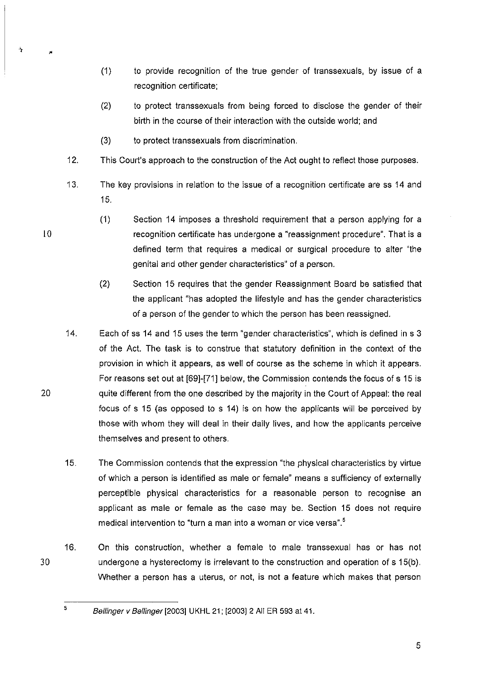- (1) to provide recognition of the true gender of transsexuals, by issue of a recognition certificate;
- (2) to protect transsexuals from being forced to disclose the gender of their birth in the course of their interaction with the outside world; and
- (3) to protect transsexuals from discrimination.
- 12. This Court's approach to the construction of the Act ought to reflect those purposes.
- 13. The key provisions in relation to the issue of a recognition certificate are ss 14 and 15.
	- (1 ) Section 14 imposes a threshold requirement that a person applying for a recognition certificate has undergone a "reassignment procedure". That is a defined term that requires a medical or surgical procedure to alter "the genital and other gender characteristics" of a person.
	- (2) Section 15 requires that the gender Reassignment Board be satisfied that the applicant "has adopted the lifestyle and has the gender characteristics of a person of the gender to which the person has been reassigned.
- 14. Each of ss 14 and 15 uses the term "gender characteristics", which is defined in s 3 of the Act. The task is to construe that statutory definition in the context of the provision in which it appears, as well of course as the scheme in which it appears. For reasons set out at [69]-[71] below, the Commission contends the focus of s 15 is quite different from the one described by the majority in the Court of Appeal: the real focus of s 15 (as opposed to s 14) is on how the applicants will be perceived by those with whom they will deal in their daily lives, and how the applicants perceive themselves and present to others.
- 15. The Commission contends that the expression "the physical characteristics by virtue of which a person is identified as male or female" means a sufficiency of externally perceptible physical characteristics for a reasonable person to recognise an applicant as male or female as the case may be. Section 15 does not require medical intervention to "turn a man into a woman or vice versa".5
- 30 16. On this construction, whether a female to male transsexual has or has not undergone a hysterectomy is irrelevant to the construction and operation of s 15(b). Whether a person has a uterus, or not, is not a feature which makes that person

5

10

Ą

20

Bellinger v Bellinger [2003] UKHL 21; [2003]2 All ER 593 at 41.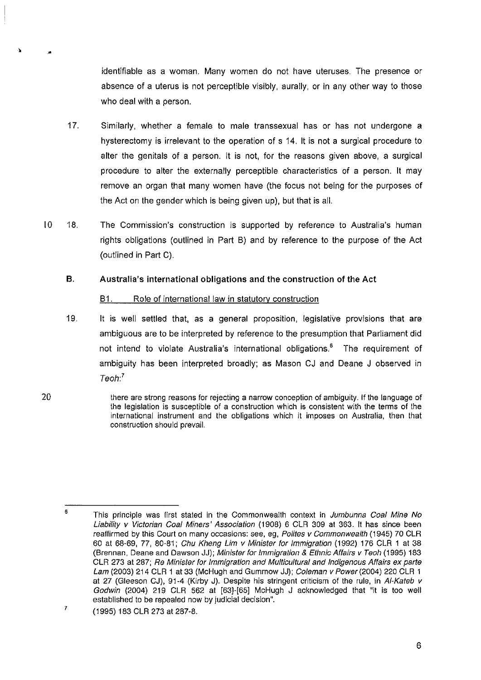identifiable as a woman. Many women do not have uteruses. The presence or absence of a uterus is not perceptible visibly, aurally, or in any other way to those who deal with a person.

- 17. Similarly, whether a female to male transsexual has or has not undergone a hysterectomy is irrelevant to the operation of s 14. It is not a surgical procedure to alter the genitals of a person. It is not, for the reasons given above, a surgical procedure to alter the externally perceptible characteristics of a person. It may remove an organ that many women have (the focus not being for the purposes of the Act on the gender which is being given up), but that is all.
- 10 18. The Commission's construction is supported by reference to Australia's human rights obligations (outlined in Part B) and by reference to the purpose of the Act (outlined in Part C).

## B. Australia's international obligations and the construction of the Act

#### B1. Role of international law in statutory construction

- 19. It is well settled that, as a general proposition, legislative provisions that are ambiguous are to be interpreted by reference to the presumption that Parliament did not intend to violate Australia's international obligations.<sup>6</sup> The requirement of ambiguity has been interpreted broadly; as Mason CJ and Deane J observed in Teoh: *<sup>7</sup>*
- there are strong reasons for rejecting a narrow conception of ambiguity. If the language of the legislation is susceptible of a construction which is consistent with the terms of the international instrument and the obligations which it imposes on Australia, then that construction should prevail.

<sup>6</sup>  This principle was first stated in the Commonwealth context in Jumbunna Coal Mine No Liability v Victorian Coal Miners' Association (1908) 6 CLR 309 at 363. It has since been reaffirmed by this Court on many occasions: see, eg, Polites v Commonwealth (1945) 70 CLR 60 at 68-69, 77, 80-81; Chu Kheng Lim v Minister for Immigration (1992) 176 CLR 1 at 38 (Brennan, Deane and Dawson JJ); Minister for Immigration & Ethnic Affairs v Teoh (1995) 183 CLR 273 at 287; Re Minister for Immigration and Multicultural and Indigenous Affairs ex parte Lam (2003) 214 CLR 1 at 33 (McHugh and Gummow JJ); Coleman v Power (2004) 220 CLR 1 at 27 (Gleeson CJ), 91-4 (Kirby J). Despite his stringent criticism of the rule, in Al-Kateb v Godwin (2004) 219 CLR 562 at [63]-[65] McHugh J acknowledged that "it is too well established to be repealed now by judicial decision".

<sup>7</sup>  (1995) 183 CLR 273 at 287-8.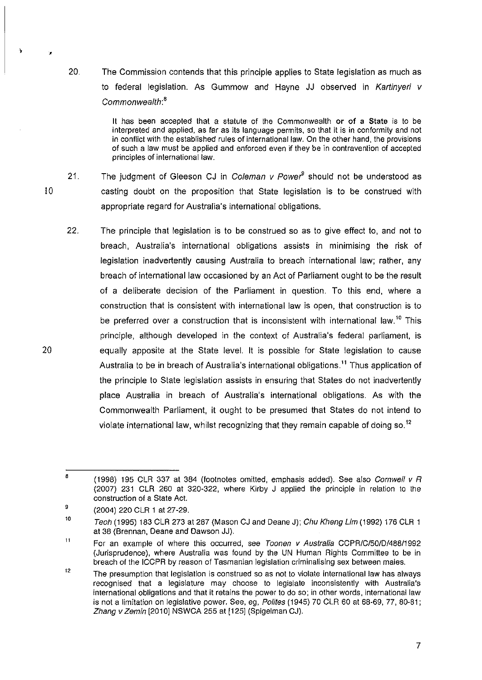20. The Commission contends that this principle applies to State legislation as much as to federal legislation. As Gummow and Hayne JJ observed in Kartinyeri v Commonwealth: *<sup>8</sup>*

> It has been accepted that a statute of the Commonweatth or of a State is to be interpreted and applied, as far as its language permits, so that it is in conformity and not in conflict with the established rutes of international law. On the other hand, the provisions of such a law must be applied and enforced even if they be in contravention of accepted principles of international law.

10

Ą

20

21. The judgment of Gleeson CJ in Coleman v Power<sup>9</sup> should not be understood as casting doubt on the proposition that State legislation is to be construed with appropriate regard for Australia's international obligations.

22. The principle that legislation is to be construed so as to give effect to, and not to breach, Australia's international obligations assists in minimising the risk of legislation inadvertently causing Australia to breach international law; rather, any breach of international law occasioned by an Act of Parliament ought to be the result of a deliberate decision of the Parliament in question. To this end, where a construction that is consistent with international law is open, that construction is to be preferred over a construction that is inconsistent with international law.<sup>10</sup> This principle, although developed in the context of Australia's federal parliament, is equally apposite at the State level. It is possible for State legislation to cause Australia to be in breach of Australia's international obligations.<sup>11</sup> Thus application of the principle to State legislation assists in ensuring that States do not inadvertently place Australia in breach of Australia's international obligations. As with the Commonwealth Parliament, it ought to be presumed that States do not intend to violate international law, whilst recognizing that they remain capable of doing so.<sup>12</sup>

B (1998) 195 CLR 337 at 384 (footnotes omitted, emphasis added). See also Cornwell  $v$  R (2007) 231 CLR 260 at 320-322, where Kirby J applied the principle in relation to the construction of a State Act.

<sup>9</sup>  (2004) 220 CLR 1 at 27-29.

<sup>10</sup>  Teoh (1995) 183 CLR 273 at 287 (Mason CJ and Deane J); Chu Kheng Lim (1992) 176 CLR 1 at 38 (Brennan, Deane and Dawson JJ).

<sup>11</sup>  For an example of where this occurred, see Toonen v Australia CCPR/C/50/D/488/1992 (Jurisprudence), where Australia was found by the UN Human Rights Committee to be in breach of the ICCPR by reason of Tasmanian legislation criminalising sex between males.

<sup>12</sup>  The presumption that legislation is construed so as not to violate international law has always recognised that a legislature may choose to legislate inconsistently with Australia's international obligations and that it retains the power to do so; in other words, international law is not a limitation on legislative power. See, eg, Polites (1945) 70 CLR 60 at 68-69, 77, 80-81; Zhang v Zemin [2010] NSWCA 255 at [125] (Spigelman CJ).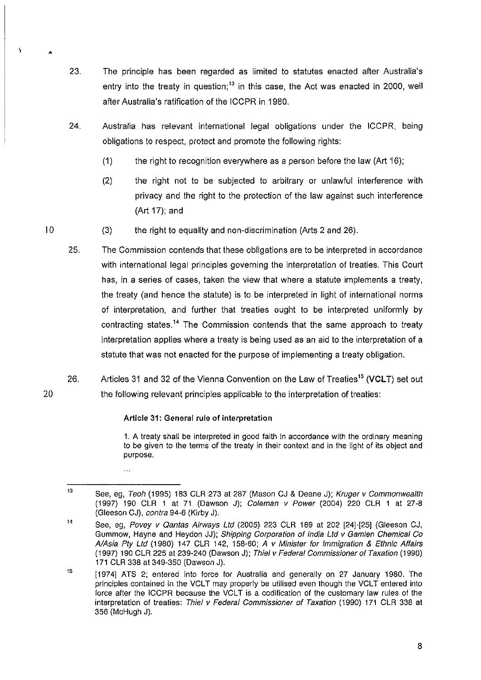- 23. The principle has been regarded as limited to statutes enacted after Australia's entry into the treaty in question; $<sup>13</sup>$  in this case, the Act was enacted in 2000, well</sup> after Australia's ratification of the ICCPR in 1980.
- 24. Australia has relevant international legal obligations under the ICCPR, being obligations to respect, protect and promote the following rights:
	- (1) the right to recognition everywhere as a person before the law (Art 16);
	- (2) the right not to be subjected to arbitrary or unlawful interference with privacy and the right to the protection of the law against such interference (Art 17); and
- 10 (3) the right to equality and non-discrimination (Arts 2 and 26).
	- 25. The Commission contends that these obligations are to be interpreted in accordance with international legal principles governing the interpretation of treaties. This Court has, in a series of cases, taken the view that where a statute implements a treaty, the treaty (and hence the statute) is to be interpreted in light of international norms of interpretation, and further that treaties ought to be interpreted uniformly by contracting states.<sup>14</sup> The Commission contends that the same approach to treaty interpretation applies where a treaty is being used as an aid to the interpretation of a statute that was not enacted for the purpose of implementing a treaty obligation.
- 26. Articles 31 and 32 of the Vienna Convention on the Law of Treaties<sup>15</sup> (VCLT) set out the following relevant principles applicable to the interpretation of treaties:

# Article 31: General rule of interpretation

 $\dddotsc$ 

1. A treaty shall be interpreted in good faith in accordance with the ordinary meaning to be given to the terms of the treaty in their context and in the light of its object and purpose.

20

 $\overline{y}$ 

<sup>13</sup>  See, eg, Teoh (1995) 183 CLR 273 at 287 (Mason CJ & Deane J); Kruger v Commonwealth (1997) 190 ClR 1 at 71 (Dawson J); Coleman v Power (2004) 220 ClR 1 at 27-8 (Gleeson CJ), contra 94-6 (Kirby J).

<sup>14</sup>  See, eg, Povey v Qantas Airways Ltd (2005) 223 CLR 189 at 202 [24]-[25] (Gleeson CJ, Gummow, Hayne and Heydon JJ); Shipping Corporation of India Lld v Gamlen Chemical Co A/Asia Pty Ltd (1980) 147 CLR 142, 158-60; A v Minister for Immigration & Ethnic Affairs (1997) 190 ClR 225 at 239-240 (Dawson J); Thiel v Federal Commissioner of Taxation (1990) 171 ClR 338 at 349-350 (Dawson J).

<sup>15</sup>  [1974] ATS 2; entered into force for Australia and generally on 27 January 1980. The principles contained in the VCLT may properly be utilised even though the VCLT entered into force after the ICCPR because the VCLT is a codification of the customary law rules of the interpretation of treaties: Thiel v Federal Commissioner of Taxation (1990) 171 ClR 338 at 356 (McHugh J).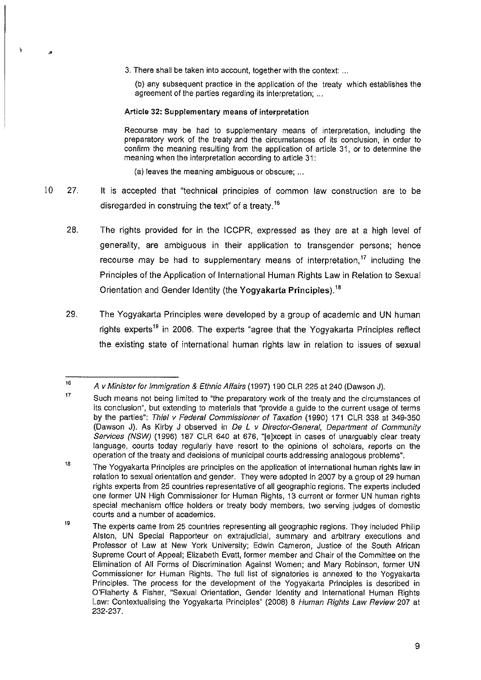3. There shall be taken into account, together with the context: ...

(b) any subsequent practice in the application of the treaty which establishes the agreement of the parties regarding its interpretation; ...

Article 32: Supplementary means of interpretation

Recourse may be had to supplementary means of interpretation, including the preparatory work of the treaty and the circumstances of its conclusion, in order to confirm the meaning resulting from the application of article 31, or to determine the meaning when the interpretation according to article 31:

(a) leaves the meaning ambiguous or obscure; ...

- 10 27. It is accepted that "technical principles of common law construction are to be disregarded in construing the text" of a treaty.<sup>16</sup>
	- 28. The rights provided for in the ICCPR, expressed as they are at a high level of generality, are ambiguous in their application to transgender persons; hence recourse may be had to supplementary means of interpretation, '7 including the Principles of the Application of International Human Rights Law in Relation to Sexual Orientation and Gender Identity (the Yogyakarta Principles).<sup>18</sup>
	- 29. The Yogyakarta Principles were developed by a group of academic and UN human rights experts<sup>19</sup> in 2006. The experts "agree that the Yogyakarta Principles reflect the existing state of international human rights law in relation to issues of sexual

<sup>16</sup>  A v Minister for Immigration & Ethnic Affairs (1997) 190 CLR 225 at 240 (Dawson J).

<sup>&#</sup>x27;7 Such means not being limited to "the preparatory work of the treaty and the circumstances of its conclusion", but extending to materials that "provide a guide to the current usage of terms by the parties": Thiel v Federal Commissioner of Taxation (1990) 171 CLR 338 at 349-350 (Dawson J). As Kirby J observed in De L v Director-General, Department of Community Services (NSW) (1996) 187 CLR 640 at 676, "[e]xcept in cases of unarguably clear treaty language, courts today regularly have resort to the opinions of scholars, reports on the operation of the treaty and decisions of municipal courts addressing analogous problems".

<sup>,.</sup>  The Yogyakarta Principles are principles on the application of international human rights law in relation to sexual orientation and gender. They were adopted in 2007 by a group of 29 human rights experts from 25 countries representative of all geographic regions. The experts included one former UN High Commissioner for Human Rights, 13 current or former UN human rights special mechanism office holders or treaty body members, two serving judges of domestic courts and a number of academics.

<sup>&#</sup>x27;9 The experts came from 25 countries representing all geographic regions. They included Philip Alston, UN Special Rapporteur on extrajudicial, summary and arbitrary executions and Professor of Law at New York University; Edwin Cameron, Justice of the South African Supreme Court of Appeal; Elizabeth Evatt, former member and Chair of the Committee on the Elimination of All Forms of Discrimination Against Women; and Mary Robinson, former UN Commissioner for Human Rights. The full list of signatories is annexed to the Yogyakarta Principles. The process for the development of the Yogyakarta Principles is described in O'Flaherty & Fisher, "Sexual Orientation, Gender Identity and International Human Rights Law: Contextualising the Yogyakarta Principles" (2008) 8 Human Rights Law Review 207 at 232-237.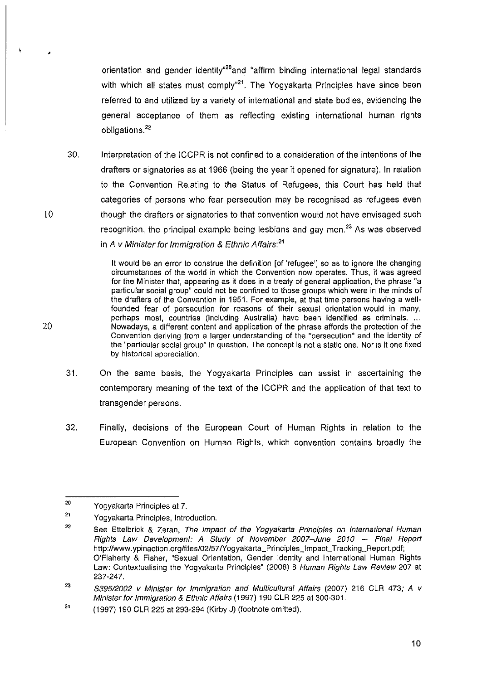orientation and gender identity<sup>®20</sup>and "affirm binding international legal standards with which all states must comply<sup>421</sup>. The Yogyakarta Principles have since been referred to and utilized by a variety of international and state bodies, evidencing the general acceptance of them as reflecting existing international human rights obligations.<sup>22</sup>

30. Interpretation of the ICCPR is not confined to a consideration of the intentions of the drafters or signatories as at 1966 (being the year it opened for signature). In relation to the Convention Relating to the Status of Refugees, this Court has held that categories of persons who fear persecution may be recognised as refugees even though the drafters or signatories to that convention would not have envisaged such recognition, the principal example being lesbians and gay men. $23$  As was observed in A v Minister for Immigration & Ethnic Affairs: *<sup>2</sup> '* 

> It would be an error to construe the definition [of 'refugee'] so as to ignore the changing circumstances of the world in which the Convention now operates. Thus, it was agreed for the Minister that, appearing as it does in a treaty of general application, the phrase "a particular social group" could not be confined to those groups which were in the minds of the drafters of the Convention in 1951. For example, at that time persons having a wellfounded fear of persecution for reasons of their sexual orientation would in many, perhaps most, countries (including Australia) have been identified as criminals .... Nowadays, a different content and application of the phrase affords the protection of the Convention deriving from a larger understanding of the "persecution" and the identity of the "particular social group" in question. The concept is not a static one. Nor is it one fixed by historical appreciation.

- 31. On the same basis, the Yogyakarta Principles can assist in ascertaining the contemporary meaning of the text of the ICCPR and the application of that text to transgender persons.
- 32. Finally, decisions of the European Court of HUman Rights in relation to the European Convention on Human Rights, which convention contains broadly the

20

10

,

<sup>20</sup>  Yogyakarta Principles at 7.

<sup>21</sup>  Yogyakarta Principles, Introduction.

<sup>22</sup>  See Ettelbrick & Zeran, The Impact of the Yogyakarta Principles on International Human Rights Law Development: A 8tudy of November 2007-June 2010 - Final Report http://www.ypinaction.org/files/02/57/Yogyakarta\_Principles\_Impact\_Tracking\_Report.pdf; O'Flaherty & Fisher, "Sexual Orientation, Gender Identity and International Human Rights Law: Contextualising the Yogyakarta Principles" (2008) 8 Human Rights Law Review 207 at 237-247.

<sup>23</sup>  839512002 v Minister for Immigration and Multicultural Affairs (2007) 216 CLR 473; A v Minister for Immigration & Ethnic Affairs (1997) 190 CLR 225 at 300-301.

<sup>24</sup>  (1997) 190 CLR 225 at 293-294 (Kirby J) (footnote omitted).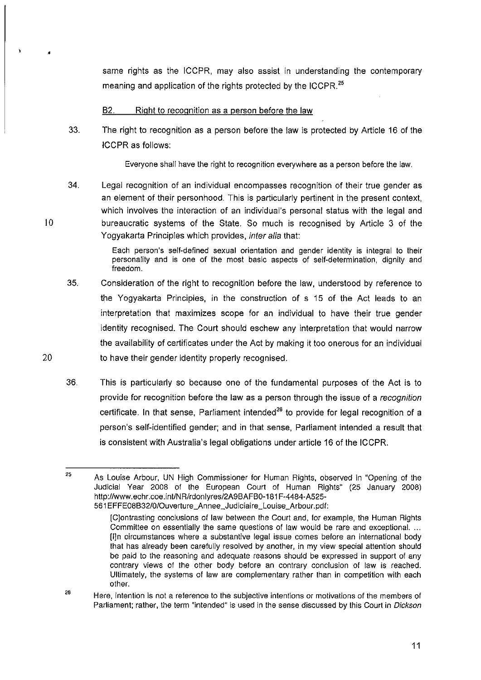same rights as the ICCPR, may also assist in understanding the contemporary meaning and application of the rights protected by the ICCPR.<sup>25</sup>

B2. Right to recognition as a person before the law

33. The right to recognition as a person before the law is protected by Article 16 of the ICCPR as follows:

Everyone shall have the right to recognition everywhere as a person before the law.

34. Legal recognition of an individual encompasses recognition of their true gender as an element of their personhood. This is particularly pertinent in the present context, which involves the interaction of an individual's personal status with the legal and bureaucratic systems of the State. So much is recognised by Article 3 of the Yogyakarta Principles which provides, inter alia that:

> Each person's self-defined sexual orientation and gender identity is integral to their personality and is one of the most basic aspects of self-determination, dignity and freedom.

- 35. Consideration of the right to recognition before the law, understood by reference to the Yogyakarta Principles, in the construction of s 15 of the Act leads to an interpretation that maximizes scope for an individual to have their true gender identity recognised. The Court should eschew any interpretation that would narrow the availability of certificates under the Act by making it too onerous for an individual to have their gender identity properly recognised.
- 36. This is particularly so because one of the fundamental purposes of the Act is to provide for recognition before the law as a person through the issue of a recognition certificate. In that sense, Parliament intended<sup>26</sup> to provide for legal recognition of a person's self-identified gender; and in that sense, Parliament intended a result that is consistent with Australia's legal obligations under article 16 of the ICCPR.

20

10

•

<sup>25</sup> As Louise Arbour, UN High Commissioner for Human Rights, observed in "Opening of the Judicial Year 2008 of the European Court of Human Rights" (25 January 2008) http://www.echr.coe.int/NR/rdonlyres/2A9BAFB0-181F-4484-A525-561 EFFE08B32/010uverture \_An nee \_Jud iciai re \_Lou ise \_Arbour. pdf:

<sup>[</sup>C]ontrasting conclusions of law between the Court and, for example, the Human Rights Committee on essentially the same questions of law would be rare and exceptional. ... [l]n circumstances where a substantive legal issue comes before an international body that has already been carefully resolved by another, in my view special attention should be paid to the reasoning and adequate reasons should be expressed in support of any contrary views of the other body before an contrary conclusion of law is reached. Ultimately, the systems of law are complementary rather than in competition with each other.

<sup>&#</sup>x27;6 Here, intention is not a reference to the subjective intentions or motivations of the members of Parliament; rather, the term "intended" is used in the sense discussed by this Court in Dickson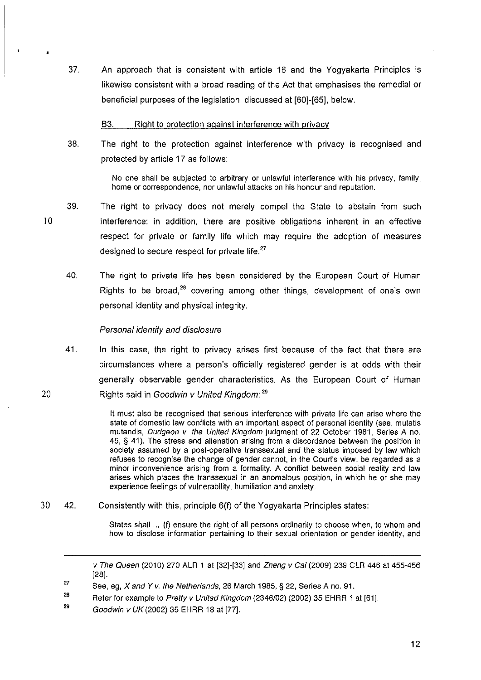37. An approach that is consistent with article 16 and the Yogyakarta Principles is likewise consistent with a broad reading of the Act that emphasises the remedial or beneficial purposes of the legislation, discussed at [60]-[65], below.

#### B3. Right to protection against interference with privacy

38. The right to the protection against interference with privacy is recognised and protected by article 17 as follows:

> No one shall be subjected to arbitrary or unlawful interference with his privacy, family, home or correspondence, nor unlawful attacks on his honour and reputation.

- 39. The right to privacy does not merely compel the State to abstain from such interference: in addition, there are positive obligations inherent in an effective respect for private or family life which may require the adoption of measures designed to secure respect for private life.<sup>27</sup>
	- 40. The right to private life has been considered by the European Court of Human Rights to be broad.<sup>28</sup> covering among other things, development of one's own personal identity and physical integrity.

#### Personal identity and disclosure

10

20

41. In this case, the right to privacy arises first because of the fact that there are circumstances where a person's officially registered gender is at odds with their generally observable gender characteristics. As the European Court of Human Rights said in Goodwin v United Kingdom: <sup>29</sup>

> It must also be recognised that serious interference with private life can arise where the state of domestic law conflicts with an important aspect of personal identity (see, mutatis mutandis, Dudgeon v. the United Kingdom judgment of 22 October 1981, Series A no. 45, § 41). The stress and alienation arising from a discordance between the position in society assumed by a post-operative transsexual and the status imposed by law which refuses to recognise the change of gender cannot, in the Court's view, be regarded as a minor inconvenience arising from a formality. A conflict between social reality and law arises which places the transsexual in an anomalous position, in which he or she may experience feelings of vulnerability, humiliation and anxiety.

30 42. Consistently with this, principle 6(1) of the Yogyakarta Principles states:

States shall ... (f) ensure the right of all persons ordinarily to choose when, to whom and how to disclose information pertaining to their sexual orientation or gender identity, and

29 Goodwin v UK (2002) 35 EHRR 18 at [77].

v The Queen (2010) 270 ALR 1 at [32]-[33] and Zheng v Cai (2009) 239 CLR 446 at 455-456 [28].

<sup>27</sup>  See, eg, X and Y v. the Netherlands, 26 March 1985, § 22, Series A no. 91.

<sup>26</sup>  Refer for example to Pretty v United Kingdom (2346/02) (2002) 35 EHRR 1 at [61].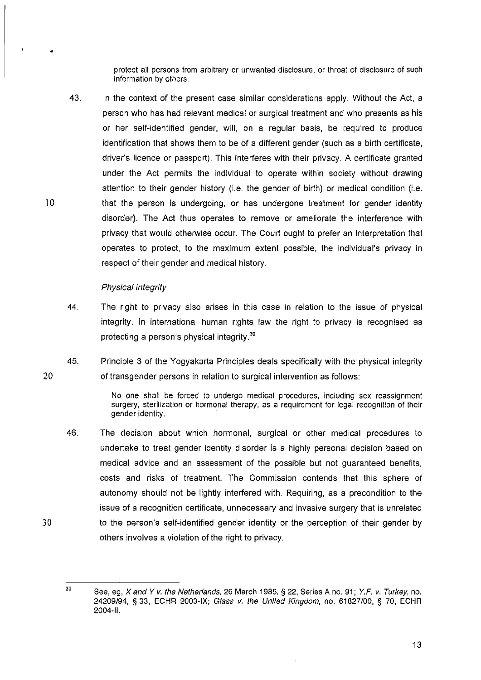protect all persons from arbitrary or unwanted disclosure, or threat of disclosure of such information by others.

43. In the context of the present case similar considerations apply. Without the Act, a person who has had relevant medical or surgical treatment and who presents as his or her self-identified gender, will, on a regular basis, be required to produce identification that shows them to be of a different gender (such as a birth certificate, driver's licence or passport). This interferes with their privacy. A certificate granted under the Act permits the individual to operate within society without drawing attention to their gender history (i.e. the gender of birth) or medical condition (i.e. that the person is undergoing, or has undergone treatment for gender identity disorder). The Act thus operates to remove or ameliorate the interference with privacy that would otherwise occur. The Court ought to prefer an interpretation that operates to protect, to the maximum extent possible, the individual's privacy in respect of their gender and medical history.

#### Physical integrity

•

10

30

- 44. The right to privacy also arises in this case in relation to the issue of physical integrity. In international human rights law the right to privacy is recognised as protecting a person's physical integrity.<sup>30</sup>
- 20 45. Principle 3 of the Yogyakarta Principles deals specifically with the physical integrity of transgender persons in relation to surgical intervention as follows:

No one shall be forced to undergo medical procedures, including sex reassignment surgery, sterilization or hormonal therapy, as a requirement for legal recognition of their gender identity.

46. The decision about which hormonal, surgical or other medical procedures to undertake to treat gender identity disorder is a highly personal decision based on medical advice and an assessment of the possible but not guaranteed benefits, costs and risks of treatment. The Commission contends that this sphere of autonomy should not be lightly interfered with. Requiring, as a precondition to the issue of a recognition certificate, unnecessary and invasive surgery that is unrelated to the person's self-identified gender identity or the perception of their gender by others involves a violation of the right to privacy.

 $30$  See, eg, X and Y v. the Netherlands, 26 March 1985, § 22, Series A no. 91; Y.F. v. Turkey, no. 24209/94, § 33, ECHR 2003-IX; Glass v. the United Kingdom, no. 61827100, § 70, ECHR 2004-11.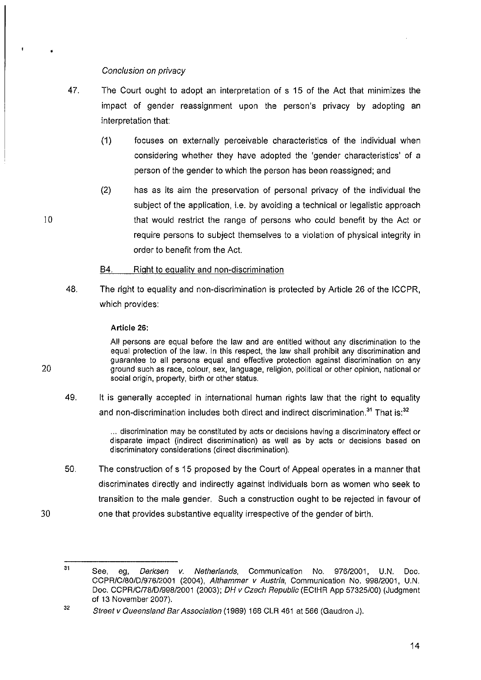### Conclusion on privacy

- 47. The Court ought to adopt an interpretation of s 15 of the Act that minimizes the impact of gender reassignment upon the person's privacy by adopting an interpretation that:
	- (1) focuses on externally perceivable characteristics of the individual when considering whether they have adopted the 'gender characteristics' of a person of the gender to which the person has been reassigned; and
	- (2) has as its aim the preservation of personal privacy of the individual the subject of the application, i.e. by avoiding a technical or legalistic approach that would restrict the range of persons who could benefit by the Act or require persons to subject themselves to a violation of physical integrity in order to benefit from the Act.

#### 84. Right to equality and non-discrimination

48. The right to equality and non-discrimination is protected by Article 26 of the ICCPR, which provides:

#### Article 26:

10

20

30

All persons are equal before the law and are entitled without any discrimination to the equal protection of the law. In this respect, the law shall prohibit any discrimination and guarantee to all persons equal and effective protection against discrimination on any ground such as race, colour, sex, language, religion, political or other opinion, national or social origin, property, birth or other status.

49. It is generally accepted in international human rights law that the right to equality and non-discrimination includes both direct and indirect discrimination. $31$  That is: $32$ 

> ... discrimination may be constituted by acts or decisions having a discriminatory effect or disparate impact (indirect discrimination) as well as by acts or decisions based on discriminatory considerations (direct discrimination).

50. The construction of s 15 proposed by the Court of Appeal operates in a manner that discriminates directly and indirectly against individuals born as women who seek to transition to the male gender. Such a construction ought to be rejected in favour of one that provides substantive equality irrespective of the gender of birth.

<sup>31</sup>  See, eg, *Derksen v. Netherlands*, Communication No. 976/2001, U.N. Doc. CCPR/C/80/D/976/2001 (2004), Althammer v Austria, Communication No. 998/2001, U.N. Doc. CCPR/C178/D/99B/2001 (2003); OH v Czech Republic (ECtHR App 57325/00) (Judgment of 13 November 2007).

<sup>32</sup>  Street v Queensland Bar Association (1989) 168 CLR 461 at 566 (Gaudron J).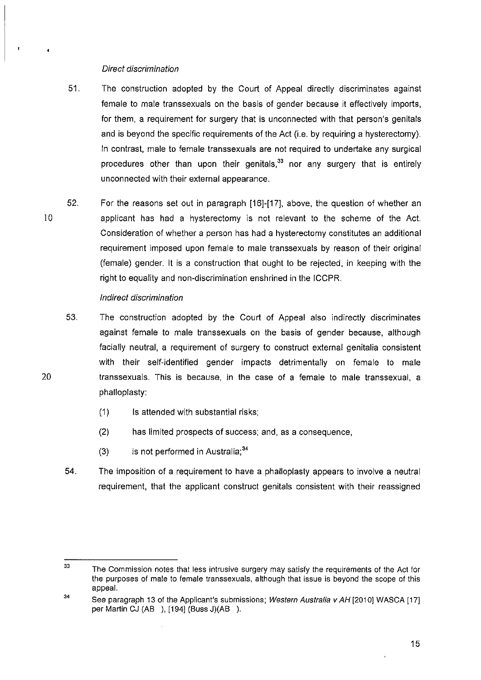#### Direct discrimination

- 51. The construction adopted by the Court of Appeal directly discriminates against female to male transsexuals on the basis of gender because it effectively imports, for them, a requirement for surgery that is unconnected with that person's genitals and is beyond the specific requirements of the Act (i.e. by requiring a hysterectomy). In contrast, male to female transsexuals are not required to undertake any surgical procedures other than upon their genitals, $33$  nor any surgery that is entirely unconnected with their external appearance.
- 10 52. For the reasons set out in paragraph [16]-[17]. above, the question of whether an applicant has had a hysterectomy is not relevant to the scheme of the Act. Consideration of whether a person has had a hysterectomy constitutes an additional requirement imposed upon female to male transsexuals by reason of their original (female) gender. It is a construction that ought to be rejected, in keeping with the right to equality and non-discrimination enshrined in the ICCPR.

#### Indirect discrimination

20

53. The construction adopted by the Court of Appeal also indirectly discriminates against female to male transsexuals on the basis of gender because, although facially neutral, a requirement of surgery to construct external genitalia consistent with their self-identified gender impacts detrimentally on female to male transsexuals. This is because, in the case of a female to male transsexual, a phalloplasty:

- (1) Is attended with substantial risks;
- (2) has limited prospects of success; and, as a consequence,
- (3) is not performed in Australia; $34$
- 54. The imposition of a requirement to have a phalloplasty appears to involve a neutral requirement, that the applicant construct genitals consistent with their reassigned

<sup>33</sup>  The Commission notes that less intrusive surgery may satisfy the requirements of the Act for the purposes of male to female transsexuals, although that issue is beyond the scope of this appeal.

<sup>34</sup>  See paragraph 13 of the Applicant's submissions; Western Australia v AH [2010] WASCA [17] per Martin CJ (AB ), [194] (Buss J)(AB ).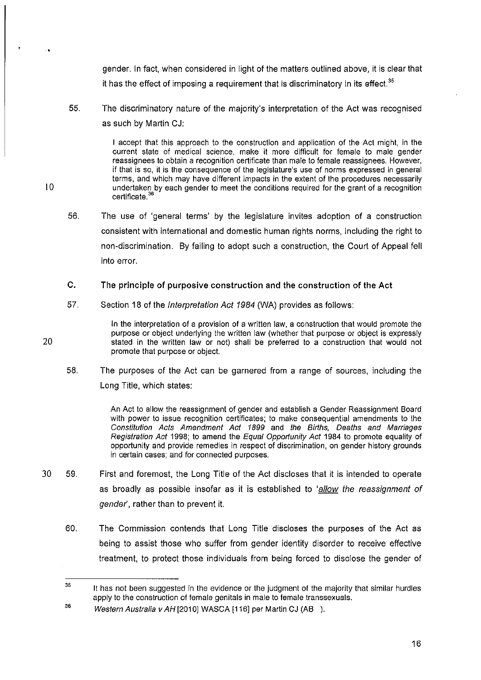gender. In fact, when considered in light of the matters outlined above, it is clear that it has the effect of imposing a requirement that is discriminatory in its effect.<sup>35</sup>

55. The discriminatory nature of the majority's interpretation of the Act was recognised as such by Martin CJ:

> I accept that this approach to the construction and application of the Act might, in the current state of medical science, make it more difficult for female to male gender reassignees to obtain a recognition certificate than male to female reassignees. However, if that is so, it is the consequence of the legislature's use of norms expressed in general terms, and which may have different impacts in the extent of the procedures necessarily undertaken by each gender to meet the conditions required for the grant of a recognition certificate.<sup>36</sup>

56. The use of 'general terms' by the legislature invites adoption of a construction consistent with international and domestic human rights norms, including the right to non-discrimination. By failing to adopt such a construction, the Court of Appeal fell into error.

#### c. The principle of purposive construction and the construction of the Act

57. Section 18 of the Interpretation Act 1984 (WA) provides as follows:

> In the interpretation of a provision of a written law, a construction that would promote the purpose or object underlying the written law (whether that purpose or object is expressly stated in the written law or not) shall be preferred to a construction that would not promote that purpose or object.

58. The purposes of the Act can be garnered from a range of sources, including the Long Title, which states:

> An Act to allow the reassignment of gender and establish a Gender Reassignment Board with power to issue recognition certificates; to make consequential amendments to the Constitution Acts Amendment Act 1899 and the Births, Deaths and Marriages Registration Act 1998; to amend the Equal Opportunity Act 1984 to promote equality of opportunity and provide remedies in respect of discrimination, on gender history grounds in certain cases; and for connected purposes.

- 30 59. First and foremost, the Long Title of the Act discloses that it is intended to operate as broadly as possible insofar as it is established to 'allow the reassignment of gender', rather than to prevent it.
	- 60. The Commission contends that Long Title discloses the purposes of the Act as being to assist those who suffer from gender identity disorder to receive effective treatment, to protect those individuals from being forced to disclose the gender of

10

•

<sup>35</sup>  36 It has not been suggested in the evidence or the judgment of the majority that similar hurdles apply to the construction of female genitals in male to female transsexuals.

Western Australia vAH[2010] WASCA [116] per Martin CJ (AB ).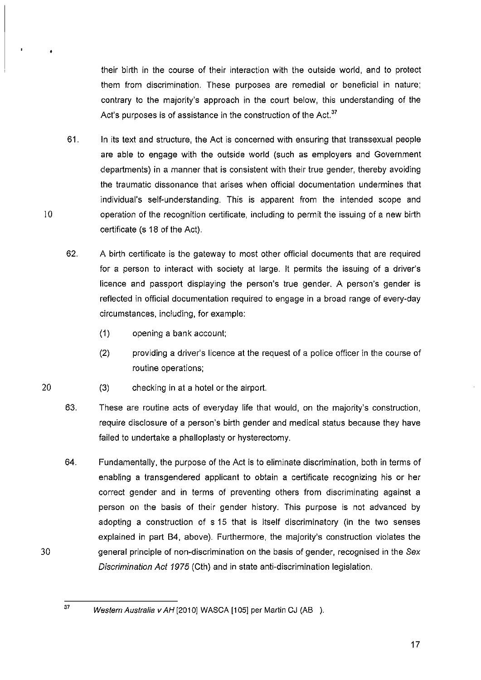their birth in the course of their interaction with the outside world, and to protect them from discrimination. These purposes are remedial or beneficial in nature; contrary to the majority's approach in the court below, this understanding of the Act's purposes is of assistance in the construction of the Act.<sup>37</sup>

- 61. In its text and structure, the Act is concerned with ensuring that transsexual people are able to engage with the outside world (such as employers and Government departments) in a manner that is consistent with their true gender, thereby avoiding the traumatic dissonance that arises when official documentation undermines that individual's self-understanding. This is apparent from the intended scope and operation of the recognition certificate, including to permit the issuing of a new birth certificate (s 18 of the Act).
- 62. A birth certificate is the gateway to most other official documents that are required for a person to interact with society at large. It permits the issuing of a driver's licence and passport displaying the person's true gender. A person's gender is reflected in official documentation required to engage in a broad range of every-day circumstances, including, for example:
	- (1) opening a bank account;
	- (2) providing a driver's licence at the request of a police officer in the course of routine operations;
- 20 (3) checking in at a hotel or the airport.
	- 63. These are routine acts of everyday life that would, on the majority's construction, require disclosure of a person's birth gender and medical status because they have failed to undertake a phalloplasty or hysterectomy.
	- 64. Fundamentally, the purpose of the Act is to eliminate discrimination, both in terms of enabling a transgendered applicant to obtain a certificate recognizing his or her correct gender and in terms of preventing others from discriminating against a person on the basis of their gender history. This purpose is not advanced by adopting a construction of s 15 that is itself discriminatory (in the two senses explained in part B4, above). Furthermore, the majority's construction violates the general principle of non-discrimination on the basis of gender, recognised in the Sex Discrimination Act 1975 (Cth) and in state anti-discrimination legislation.

30

 $37$  Western Australia v AH [2010] WASCA [105] per Martin CJ (AB ).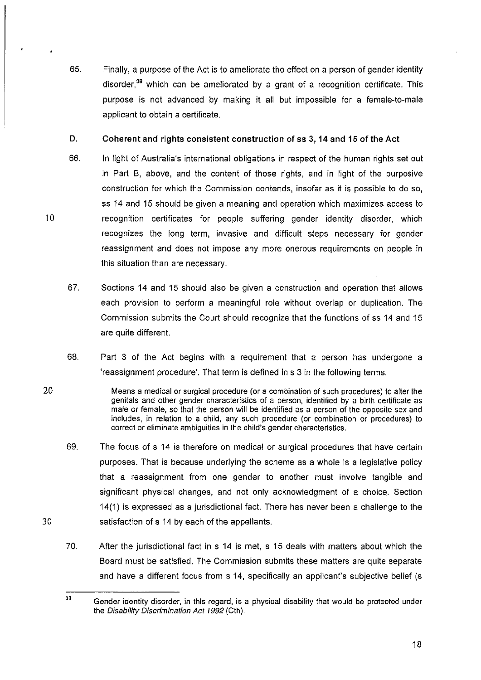65. Finally, a purpose of the Act is to ameliorate the effect on a person of gender identity disorder. $38$  which can be ameliorated by a grant of a recognition certificate. This purpose is not advanced by making it all but impossible for a female-to-male applicant to obtain a certificate.

## D. Coherent and rights consistent construction of ss 3, **14** and **15** of the Act

66. In light of Australia's international obligations in respect of the human rights set out in Part B, above, and the content of those rights. and in light of the purposive construction for which the Commission contends, insofar as it is possible to do so, ss 14 and 15 should be given a meaning and operation which maximizes access to recognition certificates for people suffering gender identity disorder. which recognizes the long term, invasive and difficult steps necessary for gender reassignment and does not impose any more onerous requirements on people in this situation than are necessary.

10

20

30

- 67. Sections 14 and 15 should also be given a construction and operation that allows each provision to perform a meaningful role without overlap or duplication. The Commission submits the Court should recognize that the functions of ss 14 and 15 are quite different.
- 68. Part 3 of the Act begins with a requirement that a person has undergone a 'reassignment procedure'. That term is defined in s 3 in the following terms:
- Means a medical or surgical procedure (or a combination of such procedures) to alter the genitals and other gender characteristics of a person, identified by a birth certificate as male or female, so that the person will be identified as a person of the opposite sex and includes, in relation to a child, any such procedure (or combination or procedures) to correct or eliminate ambiguities in the child's gender characteristics.
- 69. The focus of s 14 is therefore on medical or surgical procedures that have certain purposes. That is because underlying the scheme as a whole is a legislative policy that a reassignment from one gender to another must involve tangible and significant physical changes, and not only acknowledgment of a choice. Section 14(1) is expressed as a jurisdictional fact. There has never been a challenge to the satisfaction of s 14 by each of the appellants.
- 70. After the jurisdictional fact in s 14 is met, s 15 deals with matters about which the Board must be satisfied. The Commission submits these matters are quite separate and have a different focus from s 14, specifically an applicant's subjective belief (s

<sup>38</sup> Gender identity disorder, in this regard, is a physical disability that would be protected under the Disability Discrimination Act 1992 (Cth).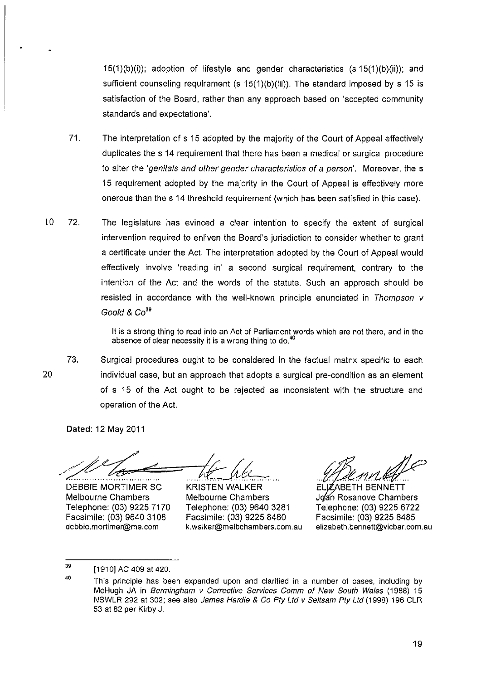15(1)(b)(i)); adoption of lifestyle and gender characteristics (s 15(1)(b)(ii)); and sufficient counseling requirement (s 15(1)(b)(iii)). The standard imposed by s 15 is satisfaction of the Board, rather than any approach based on 'accepted community standards and expectations'.

- 71. The interpretation of s 15 adopted by the majority of the Court of Appeal effectively duplicates the s 14 requirement that there has been a medical or surgical procedure to alter the 'genitals and other gender characteristics of a person'. Moreover, the s 15 requirement adopted by the majority in the Court of Appeal is effectively more onerous than the s 14 threshold requirement (which has been satisfied in this case).
- 10 72. The legislature has evinced a clear intention to specify the extent of surgical intervention required to enliven the Board's jurisdiction to consider whether to grant a certificate under the Act. The interpretation adopted by the Court of Appeal would effectively involve 'reading in' a second surgical requirement, contrary to the intention of the Act and the words of the statute. Such an approach should be resisted in accordance with the well-known principle enunciated in Thompson v Goold &  $Co<sup>39</sup>$

It is a strong thing to read into an Act of Parliament words which are not there, and in the absence of clear necessity it is a wrong thing to do.<sup>40</sup>

20 73. Surgical procedures ought to be considered in the factual matrix specific to each individual case, but an approach that adopts a surgical pre-condition as an element of s 15 of the Act ought to be rejected as inconsistent with the structure and operation of the Act.

Dated: 12 May 2011

DEBBIE MORTIMER SC .-:==".  $=$  <u>ht</u>  $\mu$ 

Melbourne Chambers Telephone: (03) 9225 7170 Facsimile: (03) 9640 3108 debbie.mortimer@me.com

KRISTEN WALKER Melbourne Chambers Telephone: (03) 9640 3281 Facsimile: (03) 9225 8480 k.walker@melbchambers.com.au

*,Ac)* .d1r.l~

ELJZ"ABETH BENNETT Joan Rosanove Chambers Telephone: (03) 9225 6722 Facsimile: (03) 9225 8485 elizabeth.bennett@vicbar.com.au

<sup>[1910]</sup> AC 409 at 420. ,.

<sup>&</sup>lt;sup>40</sup> This principle has been expanded upon and clarified in a number of cases, including by McHugh JA in 8ermingham v Corrective Services Comm of New South Wales (1988) 15 NSWLR 292 at 302; see also James Hardie & Co Pty Ltd v Seltsam Pty Ltd (1998) 196 CLR 53 at 82 per Kirby J.